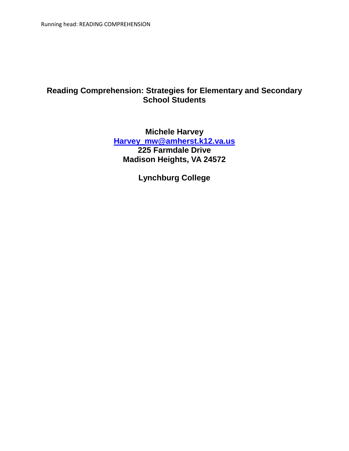# **Reading Comprehension: Strategies for Elementary and Secondary School Students**

## **Michele Harvey [Harvey\\_mw@amherst.k12.va.us](mailto:Harvey_mw@amherst.k12.va.us) 225 Farmdale Drive Madison Heights, VA 24572**

**Lynchburg College**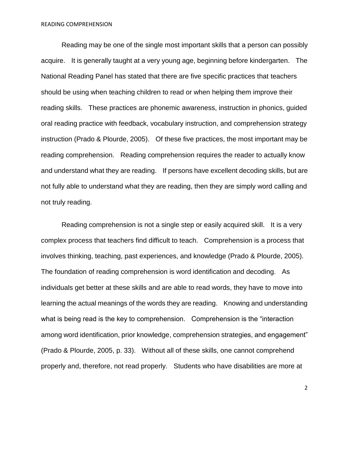Reading may be one of the single most important skills that a person can possibly acquire. It is generally taught at a very young age, beginning before kindergarten. The National Reading Panel has stated that there are five specific practices that teachers should be using when teaching children to read or when helping them improve their reading skills. These practices are phonemic awareness, instruction in phonics, guided oral reading practice with feedback, vocabulary instruction, and comprehension strategy instruction (Prado & Plourde, 2005). Of these five practices, the most important may be reading comprehension. Reading comprehension requires the reader to actually know and understand what they are reading. If persons have excellent decoding skills, but are not fully able to understand what they are reading, then they are simply word calling and not truly reading.

Reading comprehension is not a single step or easily acquired skill. It is a very complex process that teachers find difficult to teach. Comprehension is a process that involves thinking, teaching, past experiences, and knowledge (Prado & Plourde, 2005). The foundation of reading comprehension is word identification and decoding. As individuals get better at these skills and are able to read words, they have to move into learning the actual meanings of the words they are reading. Knowing and understanding what is being read is the key to comprehension. Comprehension is the "interaction among word identification, prior knowledge, comprehension strategies, and engagement" (Prado & Plourde, 2005, p. 33). Without all of these skills, one cannot comprehend properly and, therefore, not read properly. Students who have disabilities are more at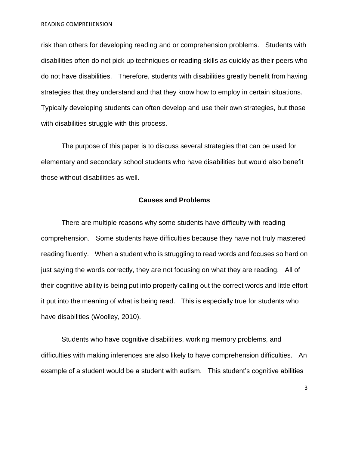READING COMPREHENSION

risk than others for developing reading and or comprehension problems. Students with disabilities often do not pick up techniques or reading skills as quickly as their peers who do not have disabilities. Therefore, students with disabilities greatly benefit from having strategies that they understand and that they know how to employ in certain situations. Typically developing students can often develop and use their own strategies, but those with disabilities struggle with this process.

The purpose of this paper is to discuss several strategies that can be used for elementary and secondary school students who have disabilities but would also benefit those without disabilities as well.

#### **Causes and Problems**

There are multiple reasons why some students have difficulty with reading comprehension. Some students have difficulties because they have not truly mastered reading fluently. When a student who is struggling to read words and focuses so hard on just saying the words correctly, they are not focusing on what they are reading. All of their cognitive ability is being put into properly calling out the correct words and little effort it put into the meaning of what is being read. This is especially true for students who have disabilities (Woolley, 2010).

Students who have cognitive disabilities, working memory problems, and difficulties with making inferences are also likely to have comprehension difficulties. An example of a student would be a student with autism. This student's cognitive abilities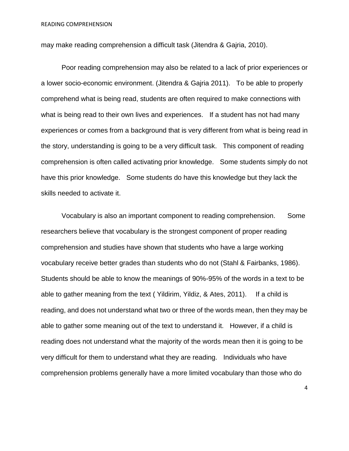may make reading comprehension a difficult task (Jitendra & Gajria, 2010).

Poor reading comprehension may also be related to a lack of prior experiences or a lower socio-economic environment. (Jitendra & Gajria 2011). To be able to properly comprehend what is being read, students are often required to make connections with what is being read to their own lives and experiences. If a student has not had many experiences or comes from a background that is very different from what is being read in the story, understanding is going to be a very difficult task. This component of reading comprehension is often called activating prior knowledge. Some students simply do not have this prior knowledge. Some students do have this knowledge but they lack the skills needed to activate it.

Vocabulary is also an important component to reading comprehension. Some researchers believe that vocabulary is the strongest component of proper reading comprehension and studies have shown that students who have a large working vocabulary receive better grades than students who do not (Stahl & Fairbanks, 1986). Students should be able to know the meanings of 90%-95% of the words in a text to be able to gather meaning from the text ( Yildirim, Yildiz, & Ates, 2011). If a child is reading, and does not understand what two or three of the words mean, then they may be able to gather some meaning out of the text to understand it. However, if a child is reading does not understand what the majority of the words mean then it is going to be very difficult for them to understand what they are reading. Individuals who have comprehension problems generally have a more limited vocabulary than those who do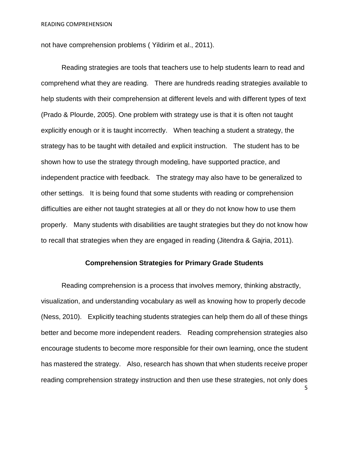not have comprehension problems ( Yildirim et al., 2011).

Reading strategies are tools that teachers use to help students learn to read and comprehend what they are reading. There are hundreds reading strategies available to help students with their comprehension at different levels and with different types of text (Prado & Plourde, 2005). One problem with strategy use is that it is often not taught explicitly enough or it is taught incorrectly. When teaching a student a strategy, the strategy has to be taught with detailed and explicit instruction. The student has to be shown how to use the strategy through modeling, have supported practice, and independent practice with feedback. The strategy may also have to be generalized to other settings. It is being found that some students with reading or comprehension difficulties are either not taught strategies at all or they do not know how to use them properly. Many students with disabilities are taught strategies but they do not know how to recall that strategies when they are engaged in reading (Jitendra & Gajria, 2011).

#### **Comprehension Strategies for Primary Grade Students**

5 Reading comprehension is a process that involves memory, thinking abstractly, visualization, and understanding vocabulary as well as knowing how to properly decode (Ness, 2010). Explicitly teaching students strategies can help them do all of these things better and become more independent readers. Reading comprehension strategies also encourage students to become more responsible for their own learning, once the student has mastered the strategy. Also, research has shown that when students receive proper reading comprehension strategy instruction and then use these strategies, not only does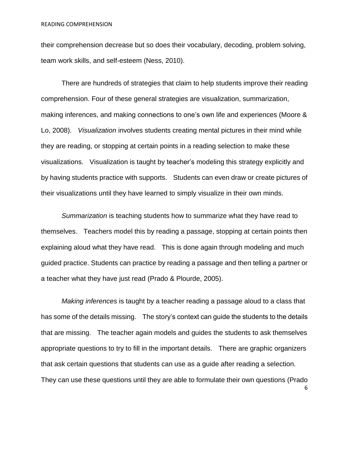their comprehension decrease but so does their vocabulary, decoding, problem solving, team work skills, and self-esteem (Ness, 2010).

There are hundreds of strategies that claim to help students improve their reading comprehension. Four of these general strategies are visualization, summarization, making inferences, and making connections to one's own life and experiences (Moore & Lo, 2008). *Visualization* involves students creating mental pictures in their mind while they are reading, or stopping at certain points in a reading selection to make these visualizations. Visualization is taught by teacher's modeling this strategy explicitly and by having students practice with supports. Students can even draw or create pictures of their visualizations until they have learned to simply visualize in their own minds.

*Summarization* is teaching students how to summarize what they have read to themselves. Teachers model this by reading a passage, stopping at certain points then explaining aloud what they have read. This is done again through modeling and much guided practice. Students can practice by reading a passage and then telling a partner or a teacher what they have just read (Prado & Plourde, 2005).

*Making inferences* is taught by a teacher reading a passage aloud to a class that has some of the details missing. The story's context can guide the students to the details that are missing. The teacher again models and guides the students to ask themselves appropriate questions to try to fill in the important details. There are graphic organizers that ask certain questions that students can use as a guide after reading a selection. They can use these questions until they are able to formulate their own questions (Prado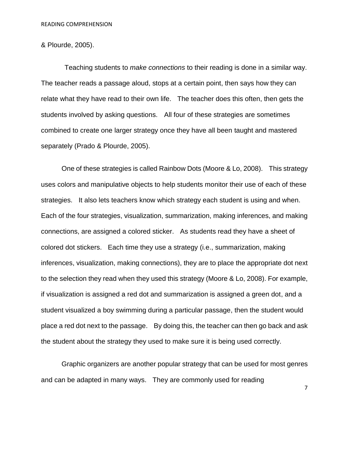## & Plourde, 2005).

Teaching students to *make connections* to their reading is done in a similar way. The teacher reads a passage aloud, stops at a certain point, then says how they can relate what they have read to their own life. The teacher does this often, then gets the students involved by asking questions. All four of these strategies are sometimes combined to create one larger strategy once they have all been taught and mastered separately (Prado & Plourde, 2005).

One of these strategies is called Rainbow Dots (Moore & Lo, 2008). This strategy uses colors and manipulative objects to help students monitor their use of each of these strategies. It also lets teachers know which strategy each student is using and when. Each of the four strategies, visualization, summarization, making inferences, and making connections, are assigned a colored sticker. As students read they have a sheet of colored dot stickers. Each time they use a strategy (i.e., summarization, making inferences, visualization, making connections), they are to place the appropriate dot next to the selection they read when they used this strategy (Moore & Lo, 2008). For example, if visualization is assigned a red dot and summarization is assigned a green dot, and a student visualized a boy swimming during a particular passage, then the student would place a red dot next to the passage. By doing this, the teacher can then go back and ask the student about the strategy they used to make sure it is being used correctly.

Graphic organizers are another popular strategy that can be used for most genres and can be adapted in many ways. They are commonly used for reading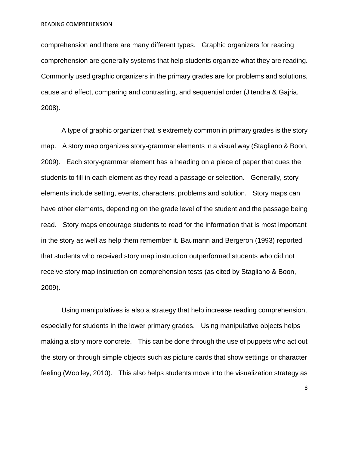comprehension and there are many different types. Graphic organizers for reading comprehension are generally systems that help students organize what they are reading. Commonly used graphic organizers in the primary grades are for problems and solutions, cause and effect, comparing and contrasting, and sequential order (Jitendra & Gajria, 2008).

A type of graphic organizer that is extremely common in primary grades is the story map. A story map organizes story-grammar elements in a visual way (Stagliano & Boon, 2009). Each story-grammar element has a heading on a piece of paper that cues the students to fill in each element as they read a passage or selection. Generally, story elements include setting, events, characters, problems and solution. Story maps can have other elements, depending on the grade level of the student and the passage being read. Story maps encourage students to read for the information that is most important in the story as well as help them remember it. Baumann and Bergeron (1993) reported that students who received story map instruction outperformed students who did not receive story map instruction on comprehension tests (as cited by Stagliano & Boon, 2009).

Using manipulatives is also a strategy that help increase reading comprehension, especially for students in the lower primary grades. Using manipulative objects helps making a story more concrete. This can be done through the use of puppets who act out the story or through simple objects such as picture cards that show settings or character feeling (Woolley, 2010). This also helps students move into the visualization strategy as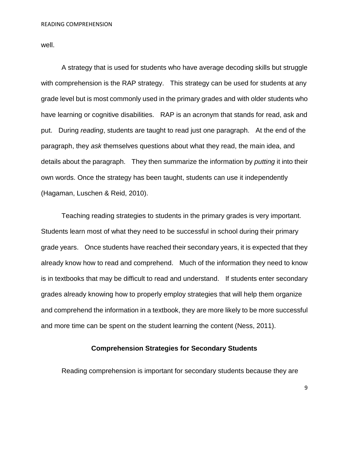well.

A strategy that is used for students who have average decoding skills but struggle with comprehension is the RAP strategy. This strategy can be used for students at any grade level but is most commonly used in the primary grades and with older students who have learning or cognitive disabilities. RAP is an acronym that stands for read, ask and put. During *reading*, students are taught to read just one paragraph. At the end of the paragraph, they *ask* themselves questions about what they read, the main idea, and details about the paragraph. They then summarize the information by *putting* it into their own words. Once the strategy has been taught, students can use it independently (Hagaman, Luschen & Reid, 2010).

Teaching reading strategies to students in the primary grades is very important. Students learn most of what they need to be successful in school during their primary grade years. Once students have reached their secondary years, it is expected that they already know how to read and comprehend. Much of the information they need to know is in textbooks that may be difficult to read and understand. If students enter secondary grades already knowing how to properly employ strategies that will help them organize and comprehend the information in a textbook, they are more likely to be more successful and more time can be spent on the student learning the content (Ness, 2011).

### **Comprehension Strategies for Secondary Students**

Reading comprehension is important for secondary students because they are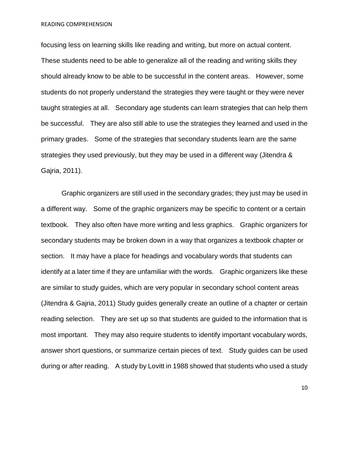READING COMPREHENSION

focusing less on learning skills like reading and writing, but more on actual content. These students need to be able to generalize all of the reading and writing skills they should already know to be able to be successful in the content areas. However, some students do not properly understand the strategies they were taught or they were never taught strategies at all. Secondary age students can learn strategies that can help them be successful. They are also still able to use the strategies they learned and used in the primary grades. Some of the strategies that secondary students learn are the same strategies they used previously, but they may be used in a different way (Jitendra & Gajria, 2011).

Graphic organizers are still used in the secondary grades; they just may be used in a different way. Some of the graphic organizers may be specific to content or a certain textbook. They also often have more writing and less graphics. Graphic organizers for secondary students may be broken down in a way that organizes a textbook chapter or section. It may have a place for headings and vocabulary words that students can identify at a later time if they are unfamiliar with the words. Graphic organizers like these are similar to study guides, which are very popular in secondary school content areas (Jitendra & Gajria, 2011) Study guides generally create an outline of a chapter or certain reading selection. They are set up so that students are guided to the information that is most important. They may also require students to identify important vocabulary words, answer short questions, or summarize certain pieces of text. Study guides can be used during or after reading. A study by Lovitt in 1988 showed that students who used a study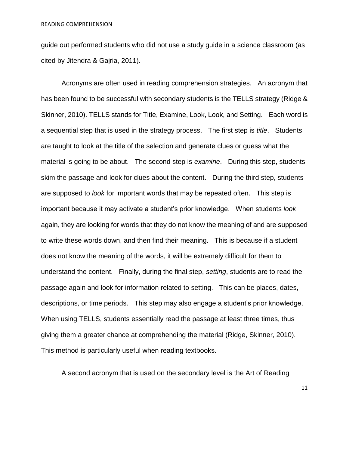guide out performed students who did not use a study guide in a science classroom (as cited by Jitendra & Gajria, 2011).

Acronyms are often used in reading comprehension strategies. An acronym that has been found to be successful with secondary students is the TELLS strategy (Ridge & Skinner, 2010). TELLS stands for Title, Examine, Look, Look, and Setting. Each word is a sequential step that is used in the strategy process. The first step is *title*. Students are taught to look at the title of the selection and generate clues or guess what the material is going to be about. The second step is *examine*. During this step, students skim the passage and look for clues about the content. During the third step, students are supposed to *look* for important words that may be repeated often. This step is important because it may activate a student's prior knowledge. When students *look*  again, they are looking for words that they do not know the meaning of and are supposed to write these words down, and then find their meaning. This is because if a student does not know the meaning of the words, it will be extremely difficult for them to understand the content. Finally, during the final step, *setting*, students are to read the passage again and look for information related to setting. This can be places, dates, descriptions, or time periods. This step may also engage a student's prior knowledge. When using TELLS, students essentially read the passage at least three times, thus giving them a greater chance at comprehending the material (Ridge, Skinner, 2010). This method is particularly useful when reading textbooks.

A second acronym that is used on the secondary level is the Art of Reading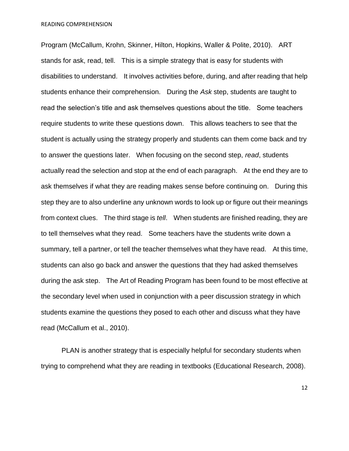Program (McCallum, Krohn, Skinner, Hilton, Hopkins, Waller & Polite, 2010). ART stands for ask, read, tell. This is a simple strategy that is easy for students with disabilities to understand. It involves activities before, during, and after reading that help students enhance their comprehension. During the *Ask* step, students are taught to read the selection's title and ask themselves questions about the title. Some teachers require students to write these questions down. This allows teachers to see that the student is actually using the strategy properly and students can them come back and try to answer the questions later. When focusing on the second step, *read*, students actually read the selection and stop at the end of each paragraph. At the end they are to ask themselves if what they are reading makes sense before continuing on. During this step they are to also underline any unknown words to look up or figure out their meanings from context clues. The third stage is *tell*. When students are finished reading, they are to tell themselves what they read. Some teachers have the students write down a summary, tell a partner, or tell the teacher themselves what they have read. At this time, students can also go back and answer the questions that they had asked themselves during the ask step. The Art of Reading Program has been found to be most effective at the secondary level when used in conjunction with a peer discussion strategy in which students examine the questions they posed to each other and discuss what they have read (McCallum et al., 2010).

PLAN is another strategy that is especially helpful for secondary students when trying to comprehend what they are reading in textbooks (Educational Research, 2008).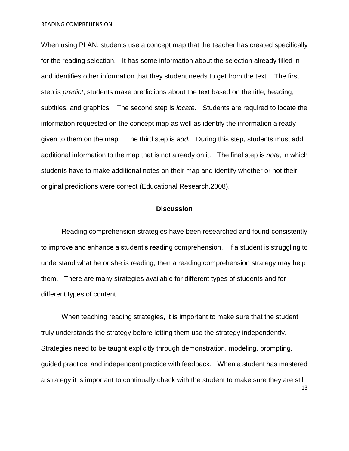When using PLAN, students use a concept map that the teacher has created specifically for the reading selection. It has some information about the selection already filled in and identifies other information that they student needs to get from the text. The first step is *predict*, students make predictions about the text based on the title, heading, subtitles, and graphics. The second step is *locate*. Students are required to locate the information requested on the concept map as well as identify the information already given to them on the map. The third step is *add.* During this step, students must add additional information to the map that is not already on it. The final step is *note*, in which students have to make additional notes on their map and identify whether or not their original predictions were correct (Educational Research,2008).

### **Discussion**

Reading comprehension strategies have been researched and found consistently to improve and enhance a student's reading comprehension. If a student is struggling to understand what he or she is reading, then a reading comprehension strategy may help them. There are many strategies available for different types of students and for different types of content.

13 When teaching reading strategies, it is important to make sure that the student truly understands the strategy before letting them use the strategy independently. Strategies need to be taught explicitly through demonstration, modeling, prompting, guided practice, and independent practice with feedback. When a student has mastered a strategy it is important to continually check with the student to make sure they are still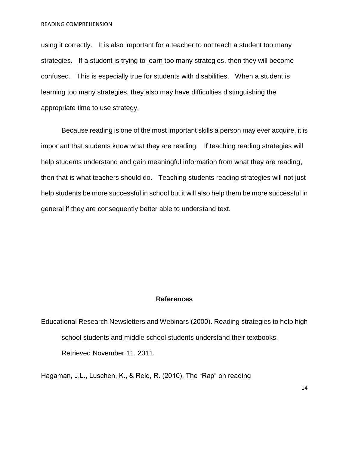using it correctly. It is also important for a teacher to not teach a student too many strategies. If a student is trying to learn too many strategies, then they will become confused. This is especially true for students with disabilities. When a student is learning too many strategies, they also may have difficulties distinguishing the appropriate time to use strategy.

Because reading is one of the most important skills a person may ever acquire, it is important that students know what they are reading. If teaching reading strategies will help students understand and gain meaningful information from what they are reading, then that is what teachers should do. Teaching students reading strategies will not just help students be more successful in school but it will also help them be more successful in general if they are consequently better able to understand text.

#### **References**

# Educational Research Newsletters and Webinars (2000). Reading strategies to help high school students and middle school students understand their textbooks. Retrieved November 11, 2011.

Hagaman, J.L., Luschen, K., & Reid, R. (2010). The "Rap" on reading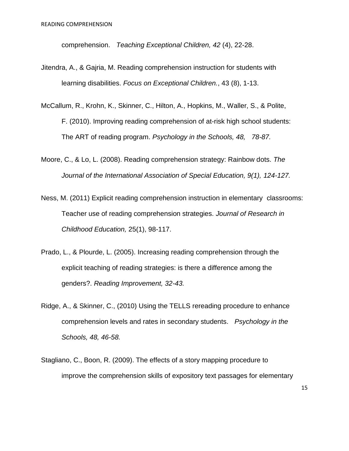comprehension. *Teaching Exceptional Children, 42* (4), 22-28.

- Jitendra, A., & Gajria, M. Reading comprehension instruction for students with learning disabilities. *Focus on Exceptional Children.*, 43 (8), 1-13.
- McCallum, R., Krohn, K., Skinner, C., Hilton, A., Hopkins, M., Waller, S., & Polite, F. (2010). Improving reading comprehension of at-risk high school students: The ART of reading program. *Psychology in the Schools, 48, 78-87.*
- Moore, C., & Lo, L. (2008). Reading comprehension strategy: Rainbow dots. *The Journal of the International Association of Special Education, 9(1), 124-127.*
- Ness, M. (2011) Explicit reading comprehension instruction in elementary classrooms: Teacher use of reading comprehension strategies. *Journal of Research in Childhood Education,* 25(1), 98-117.
- Prado, L., & Plourde, L. (2005). Increasing reading comprehension through the explicit teaching of reading strategies: is there a difference among the genders?. *Reading Improvement, 32-43.*
- Ridge, A., & Skinner, C., (2010) Using the TELLS rereading procedure to enhance comprehension levels and rates in secondary students. *Psychology in the Schools, 48, 46-58.*
- Stagliano, C., Boon, R. (2009). The effects of a story mapping procedure to improve the comprehension skills of expository text passages for elementary